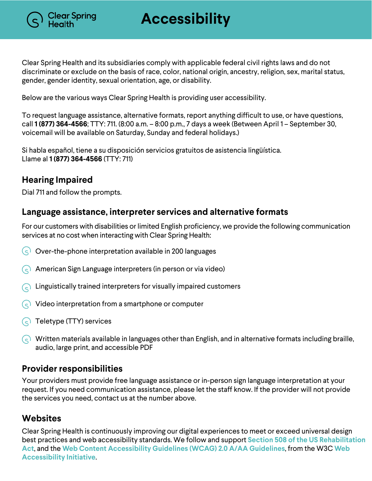

**Accessibility**

Clear Spring Health and its subsidiaries comply with applicable federal civil rights laws and do not discriminate or exclude on the basis of race, color, national origin, ancestry, religion, sex, marital status, gender, gender identity, sexual orientation, age, or disability.

Below are the various ways Clear Spring Health is providing user accessibility.

To request language assistance, alternative formats, report anything difficult to use, or have questions, call **1 (877) 364-4566**; TTY: 711. (8:00 a.m. – 8:00 p.m., 7 days a week (Between April 1 – September 30, voicemail will be available on Saturday, Sunday and federal holidays.)

Si habla español, tiene a su disposición servicios gratuitos de asistencia lingüística. Llame al **1 (877) 364-4566** (TTY: 711)

## **Hearing Impaired**

Dial 711 and follow the prompts.

### **Language assistance, interpreter services and alternative formats**

For our customers with disabilities or limited English proficiency, we provide the following communication services at no cost when interacting with Clear Spring Health:

- $\overline{S}$  Over-the-phone interpretation available in 200 languages
- American Sign Language interpreters (in person or via video)
- Linguistically trained interpreters for visually impaired customers
- Video interpretation from a smartphone or computer
- $\left(\right.\infty\right)$  Teletype (TTY) services
- $\odot$  Written materials available in languages other than English, and in alternative formats including braille, audio, large print, and accessible PDF

#### **Provider responsibilities**

Your providers must provide free language assistance or in-person sign language interpretation at your request. If you need communication assistance, please let the staff know. If the provider will not provide the services you need, contact us at the number above.

## **Websites**

Clear Spring Health is continuously improving our digital experiences to meet or exceed universal design best practices and web accessibility standards. We follow and support **Section 508 of the US Rehabilitation Act**, and the **Web Content Accessibility Guidelines (WCAG) 2.0 A/AA Guidelines**, from the W3C **Web Accessibility Initiative**.